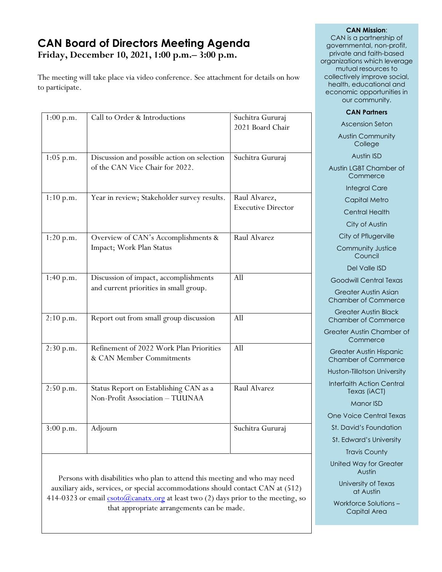# **CAN Board of Directors Meeting Agenda Friday, December 10, 2021, 1:00 p.m.– 3:00 p.m.**

The meeting will take place via video conference. See attachment for details on how to participate.

| $1:00$ p.m. | Call to Order & Introductions                                                   | Suchitra Gururaj<br>2021 Board Chair       |
|-------------|---------------------------------------------------------------------------------|--------------------------------------------|
| $1:05$ p.m. | Discussion and possible action on selection<br>of the CAN Vice Chair for 2022.  | Suchitra Gururaj                           |
| 1:10 p.m.   | Year in review; Stakeholder survey results.                                     | Raul Alvarez,<br><b>Executive Director</b> |
| 1:20 p.m.   | Overview of CAN's Accomplishments &<br>Impact; Work Plan Status                 | Raul Alvarez                               |
| 1:40 p.m.   | Discussion of impact, accomplishments<br>and current priorities in small group. | All                                        |
| 2:10 p.m.   | Report out from small group discussion                                          | All                                        |
| 2:30 p.m.   | Refinement of 2022 Work Plan Priorities<br>& CAN Member Commitments             | All                                        |
| 2:50 p.m.   | Status Report on Establishing CAN as a<br>Non-Profit Association - TUUNAA       | Raul Alvarez                               |
| 3:00 p.m.   | Adjourn                                                                         | Suchitra Gururaj                           |

Persons with disabilities who plan to attend this meeting and who may need auxiliary aids, services, or special accommodations should contact CAN at (512) 414-0323 or email  $\frac{\cosh(a)}{\cosh(a)}$  canatx.org at least two (2) days prior to the meeting, so that appropriate arrangements can be made.

#### **CAN Mission**:

CAN is a partnership of governmental, non-profit, private and faith-based organizations which leverage mutual resources to collectively improve social, health, educational and economic opportunities in our community.

#### **CAN Partners**

Ascension Seton

Austin Community College

Austin ISD

Austin LGBT Chamber of **Commerce** 

Integral Care

Capital Metro

Central Health

City of Austin

City of Pflugerville

Community Justice **Council** 

Del Valle ISD

Goodwill Central Texas

Greater Austin Asian Chamber of Commerce

Greater Austin Black Chamber of Commerce

Greater Austin Chamber of **Commerce** 

Greater Austin Hispanic Chamber of Commerce

Huston-Tillotson University

Interfaith Action Central Texas (iACT)

Manor ISD

One Voice Central Texas

St. David's Foundation

St. Edward's University

Travis County

United Way for Greater Austin

> University of Texas at Austin

Workforce Solutions – Capital Area